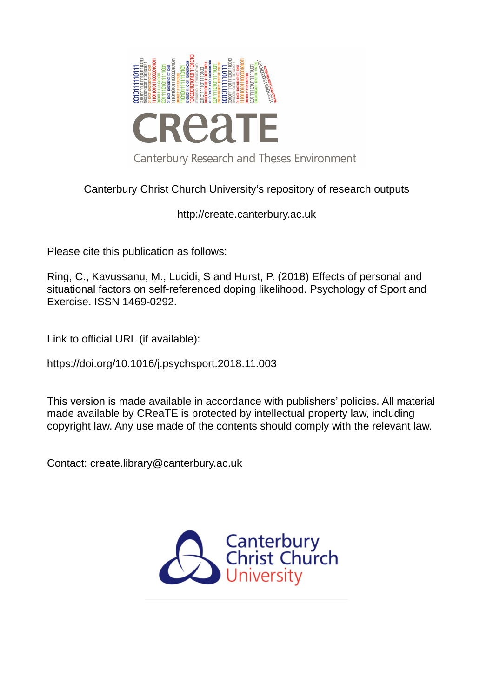

# Canterbury Christ Church University's repository of research outputs

http://create.canterbury.ac.uk

Please cite this publication as follows:

Ring, C., Kavussanu, M., Lucidi, S and Hurst, P. (2018) Effects of personal and situational factors on self-referenced doping likelihood. Psychology of Sport and Exercise. ISSN 1469-0292.

Link to official URL (if available):

https://doi.org/10.1016/j.psychsport.2018.11.003

This version is made available in accordance with publishers' policies. All material made available by CReaTE is protected by intellectual property law, including copyright law. Any use made of the contents should comply with the relevant law.

Contact: create.library@canterbury.ac.uk

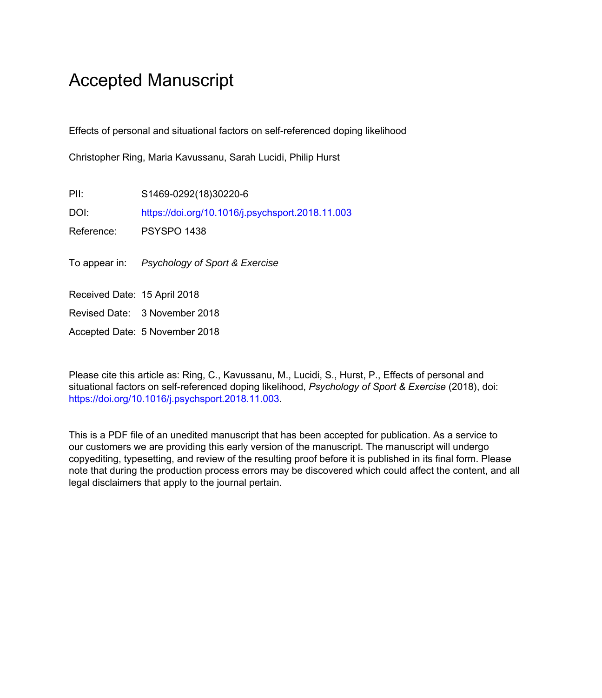# Accepted Manuscript

Effects of personal and situational factors on self-referenced doping likelihood

Christopher Ring, Maria Kavussanu, Sarah Lucidi, Philip Hurst

PII: S1469-0292(18)30220-6 DOI: <https://doi.org/10.1016/j.psychsport.2018.11.003> Reference: PSYSPO 1438

To appear in: Psychology of Sport & Exercise

Received Date: 15 April 2018

Revised Date: 3 November 2018

Accepted Date: 5 November 2018

Please cite this article as: Ring, C., Kavussanu, M., Lucidi, S., Hurst, P., Effects of personal and situational factors on self-referenced doping likelihood, *Psychology of Sport & Exercise* (2018), doi: [https://doi.org/10.1016/j.psychsport.2018.11.003.](https://doi.org/10.1016/j.psychsport.2018.11.003)

This is a PDF file of an unedited manuscript that has been accepted for publication. As a service to our customers we are providing this early version of the manuscript. The manuscript will undergo copyediting, typesetting, and review of the resulting proof before it is published in its final form. Please note that during the production process errors may be discovered which could affect the content, and all legal disclaimers that apply to the journal pertain.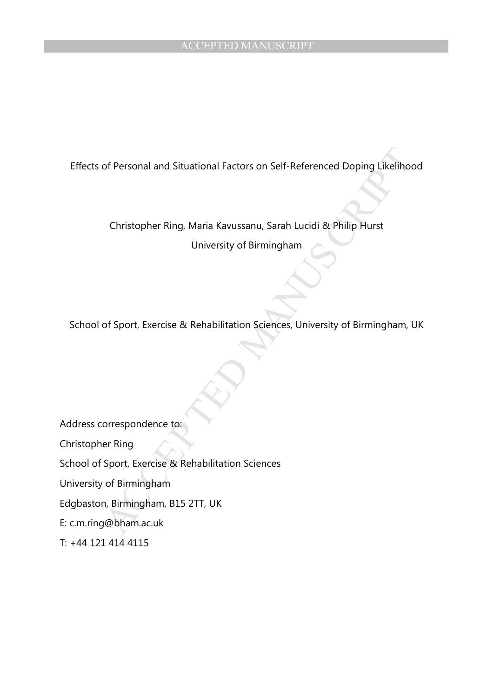of Personal and Situational Factors on Self-Referenced Doping Likelihot<br>Christopher Ring, Maria Kavussanu, Sarah Lucidi & Philip Hurst<br>University of Birmingham<br>Of Sport, Exercise & Rehabilitation Sciences, University of Bi Effects of Personal and Situational Factors on Self-Referenced Doping Likelihood

Christopher Ring, Maria Kavussanu, Sarah Lucidi & Philip Hurst

University of Birmingham

School of Sport, Exercise & Rehabilitation Sciences, University of Birmingham, UK

Address correspondence to:

Christopher Ring

School of Sport, Exercise & Rehabilitation Sciences

University of Birmingham

Edgbaston, Birmingham, B15 2TT, UK

E: c.m.ring@bham.ac.uk

T: +44 121 414 4115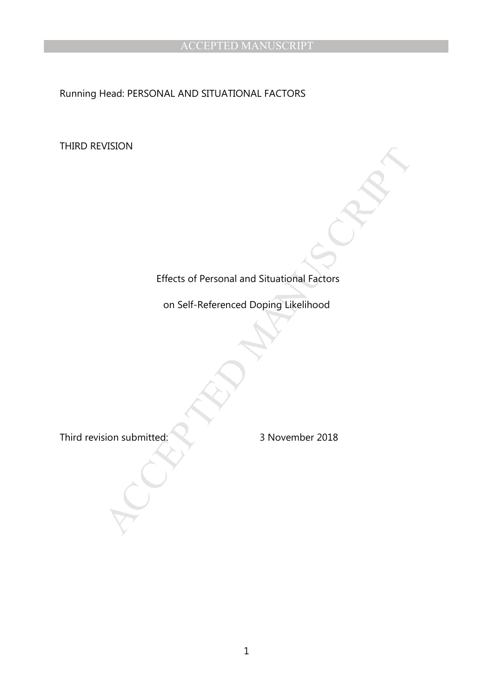Running Head: PERSONAL AND SITUATIONAL FACTORS

THIRD REVISION

# Effects of Personal and Situational Factors<br>
on Self-Referenced Doping Likelihood<br>
sion submitted:<br>
3 November 2018 Effects of Personal and Situational Factors

on Self-Referenced Doping Likelihood

Third revision submitted: 3 November 2018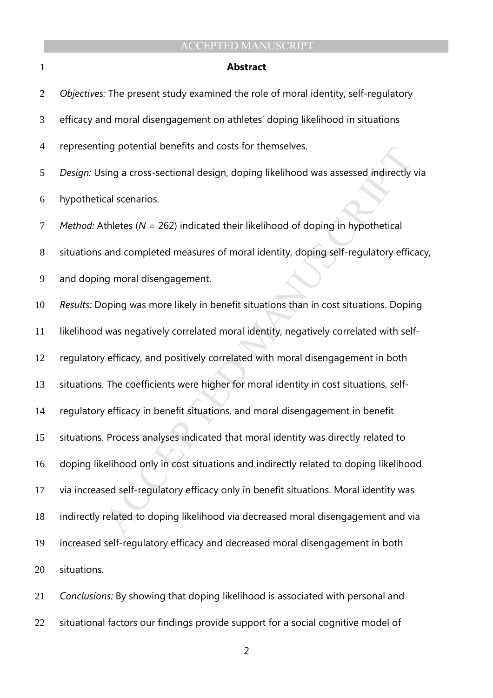### **Abstract**

| $\overline{2}$ | Objectives: The present study examined the role of moral identity, self-regulatory         |
|----------------|--------------------------------------------------------------------------------------------|
| 3              | efficacy and moral disengagement on athletes' doping likelihood in situations              |
| $\overline{4}$ | representing potential benefits and costs for themselves.                                  |
| 5              | Design: Using a cross-sectional design, doping likelihood was assessed indirectly via      |
| 6              | hypothetical scenarios.                                                                    |
| 7              | <i>Method:</i> Athletes ( $N = 262$ ) indicated their likelihood of doping in hypothetical |
| $8\phantom{1}$ | situations and completed measures of moral identity, doping self-regulatory efficacy,      |
| 9              | and doping moral disengagement.                                                            |
| 10             | Results: Doping was more likely in benefit situations than in cost situations. Doping      |
| 11             | likelihood was negatively correlated moral identity, negatively correlated with self-      |
| 12             | regulatory efficacy, and positively correlated with moral disengagement in both            |
| 13             | situations. The coefficients were higher for moral identity in cost situations, self-      |
| 14             | regulatory efficacy in benefit situations, and moral disengagement in benefit              |
| 15             | situations. Process analyses indicated that moral identity was directly related to         |
| 16             | doping likelihood only in cost situations and indirectly related to doping likelihood      |
| 17             | via increased self-regulatory efficacy only in benefit situations. Moral identity was      |
| 18             | indirectly related to doping likelihood via decreased moral disengagement and via          |
| 19             | increased self-regulatory efficacy and decreased moral disengagement in both               |
| 20             | situations.                                                                                |

*Conclusions:* By showing that doping likelihood is associated with personal and situational factors our findings provide support for a social cognitive model of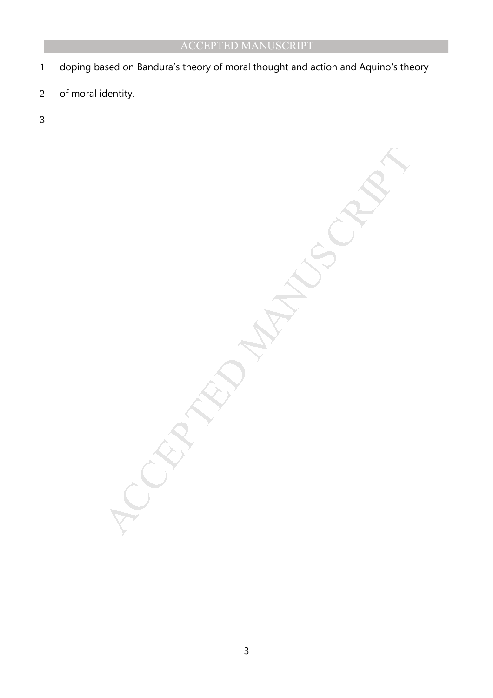- doping based on Bandura's theory of moral thought and action and Aquino's theory
- of moral identity.
- 

MANUSCRIPT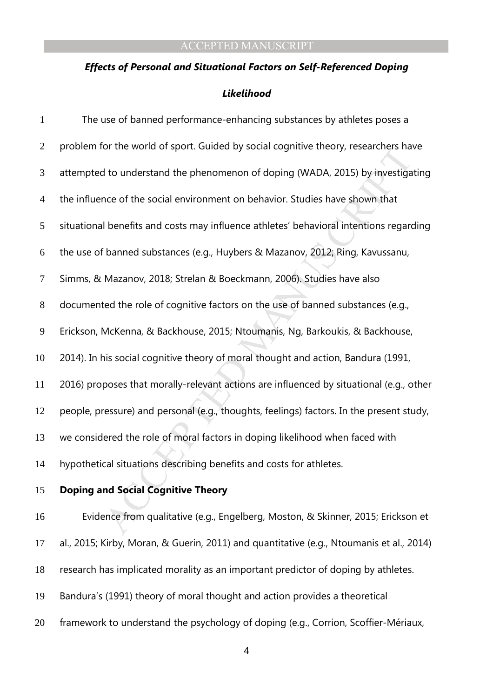### *Effects of Personal and Situational Factors on Self-Referenced Doping*

### *Likelihood*

| $\mathbf{1}$   | The use of banned performance-enhancing substances by athletes poses a                   |
|----------------|------------------------------------------------------------------------------------------|
| $\overline{2}$ | problem for the world of sport. Guided by social cognitive theory, researchers have      |
| 3              | attempted to understand the phenomenon of doping (WADA, 2015) by investigating           |
| $\overline{4}$ | the influence of the social environment on behavior. Studies have shown that             |
| 5              | situational benefits and costs may influence athletes' behavioral intentions regarding   |
| 6              | the use of banned substances (e.g., Huybers & Mazanov, 2012; Ring, Kavussanu,            |
| 7              | Simms, & Mazanov, 2018; Strelan & Boeckmann, 2006). Studies have also                    |
| $8\,$          | documented the role of cognitive factors on the use of banned substances (e.g.,          |
| $\mathbf{9}$   | Erickson, McKenna, & Backhouse, 2015; Ntoumanis, Ng, Barkoukis, & Backhouse,             |
| 10             | 2014). In his social cognitive theory of moral thought and action, Bandura (1991,        |
| 11             | 2016) proposes that morally-relevant actions are influenced by situational (e.g., other  |
| 12             | people, pressure) and personal (e.g., thoughts, feelings) factors. In the present study, |
| 13             | we considered the role of moral factors in doping likelihood when faced with             |
| 14             | hypothetical situations describing benefits and costs for athletes.                      |
| 15             | <b>Doping and Social Cognitive Theory</b>                                                |
| 16             | Evidence from qualitative (e.g., Engelberg, Moston, & Skinner, 2015; Erickson et         |

al., 2015; Kirby, Moran, & Guerin, 2011) and quantitative (e.g., Ntoumanis et al., 2014) research has implicated morality as an important predictor of doping by athletes. Bandura's (1991) theory of moral thought and action provides a theoretical framework to understand the psychology of doping (e.g., Corrion, Scoffier-Mériaux,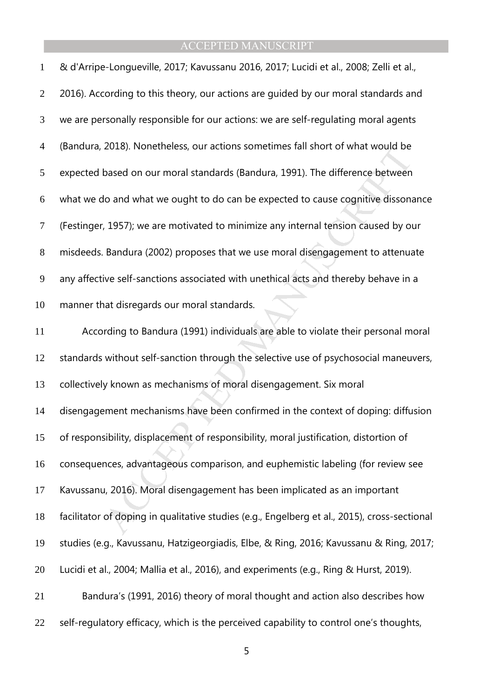| $\mathbf{1}$     | & d'Arripe-Longueville, 2017; Kavussanu 2016, 2017; Lucidi et al., 2008; Zelli et al.,       |
|------------------|----------------------------------------------------------------------------------------------|
| $\overline{2}$   | 2016). According to this theory, our actions are guided by our moral standards and           |
| 3                | we are personally responsible for our actions: we are self-regulating moral agents           |
| $\overline{4}$   | (Bandura, 2018). Nonetheless, our actions sometimes fall short of what would be              |
| 5                | expected based on our moral standards (Bandura, 1991). The difference between                |
| 6                | what we do and what we ought to do can be expected to cause cognitive dissonance             |
| $\boldsymbol{7}$ | (Festinger, 1957); we are motivated to minimize any internal tension caused by our           |
| $8\,$            | misdeeds. Bandura (2002) proposes that we use moral disengagement to attenuate               |
| 9                | any affective self-sanctions associated with unethical acts and thereby behave in a          |
| 10               | manner that disregards our moral standards.                                                  |
| 11               | According to Bandura (1991) individuals are able to violate their personal moral             |
| 12               | standards without self-sanction through the selective use of psychosocial maneuvers,         |
| 13               | collectively known as mechanisms of moral disengagement. Six moral                           |
| 14               | disengagement mechanisms have been confirmed in the context of doping: diffusion             |
| 15               | of responsibility, displacement of responsibility, moral justification, distortion of        |
| 16               | consequences, advantageous comparison, and euphemistic labeling (for review see              |
| 17               | Kavussanu, 2016). Moral disengagement has been implicated as an important                    |
| 18               | facilitator of doping in qualitative studies (e.g., Engelberg et al., 2015), cross-sectional |

studies (e.g., Kavussanu, Hatzigeorgiadis, Elbe, & Ring, 2016; Kavussanu & Ring, 2017;

Lucidi et al., 2004; Mallia et al., 2016), and experiments (e.g., Ring & Hurst, 2019).

Bandura's (1991, 2016) theory of moral thought and action also describes how

22 self-regulatory efficacy, which is the perceived capability to control one's thoughts,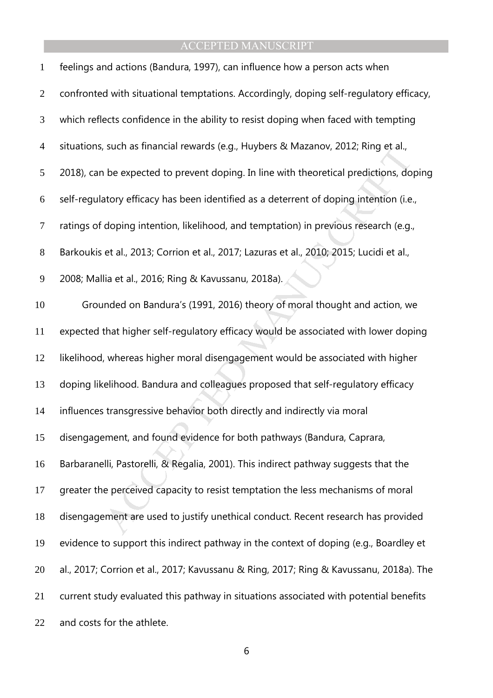| $\mathbf{1}$     | feelings and actions (Bandura, 1997), can influence how a person acts when               |
|------------------|------------------------------------------------------------------------------------------|
| $\mathbf{2}$     | confronted with situational temptations. Accordingly, doping self-regulatory efficacy,   |
| $\mathfrak{Z}$   | which reflects confidence in the ability to resist doping when faced with tempting       |
| $\overline{4}$   | situations, such as financial rewards (e.g., Huybers & Mazanov, 2012; Ring et al.,       |
| 5                | 2018), can be expected to prevent doping. In line with theoretical predictions, doping   |
| 6                | self-regulatory efficacy has been identified as a deterrent of doping intention (i.e.,   |
| $\boldsymbol{7}$ | ratings of doping intention, likelihood, and temptation) in previous research (e.g.,     |
| $8\,$            | Barkoukis et al., 2013; Corrion et al., 2017; Lazuras et al., 2010; 2015; Lucidi et al., |
| 9                | 2008; Mallia et al., 2016; Ring & Kavussanu, 2018a).                                     |
| 10               | Grounded on Bandura's (1991, 2016) theory of moral thought and action, we                |
| 11               | expected that higher self-regulatory efficacy would be associated with lower doping      |
| 12               | likelihood, whereas higher moral disengagement would be associated with higher           |
| 13               | doping likelihood. Bandura and colleagues proposed that self-regulatory efficacy         |
| 14               | influences transgressive behavior both directly and indirectly via moral                 |
| 15               | disengagement, and found evidence for both pathways (Bandura, Caprara,                   |
| 16               | Barbaranelli, Pastorelli, & Regalia, 2001). This indirect pathway suggests that the      |
| 17               | greater the perceived capacity to resist temptation the less mechanisms of moral         |
| 18               | disengagement are used to justify unethical conduct. Recent research has provided        |
| 19               | evidence to support this indirect pathway in the context of doping (e.g., Boardley et    |
| 20               | al., 2017; Corrion et al., 2017; Kavussanu & Ring, 2017; Ring & Kavussanu, 2018a). The   |
| 21               | current study evaluated this pathway in situations associated with potential benefits    |
| 22               | and costs for the athlete.                                                               |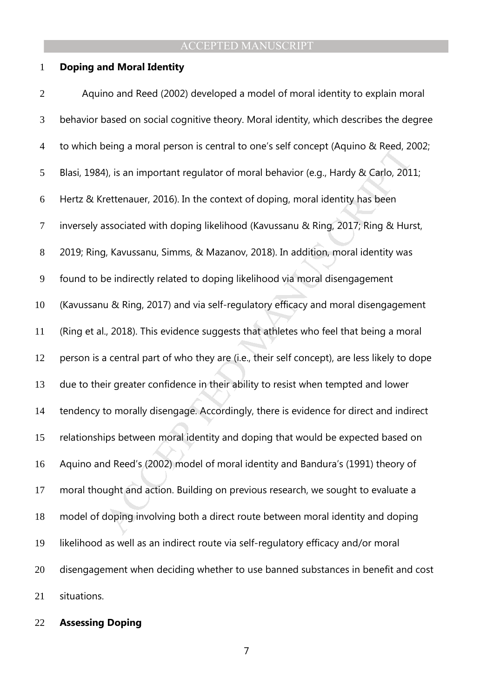### **Doping and Moral Identity**

9eing a moral person is central to one s self concept (Aquino α Reed, 20<br>4), is an important regulator of moral behavior (e.g., Hardy & Carlo, 201<br>rettenauer, 2016). In the context of doping, moral identity has been<br>ssoci Aquino and Reed (2002) developed a model of moral identity to explain moral behavior based on social cognitive theory. Moral identity, which describes the degree to which being a moral person is central to one's self concept (Aquino & Reed, 2002; Blasi, 1984), is an important regulator of moral behavior (e.g., Hardy & Carlo, 2011; Hertz & Krettenauer, 2016). In the context of doping, moral identity has been inversely associated with doping likelihood (Kavussanu & Ring, 2017; Ring & Hurst, 2019; Ring, Kavussanu, Simms, & Mazanov, 2018). In addition, moral identity was found to be indirectly related to doping likelihood via moral disengagement (Kavussanu & Ring, 2017) and via self-regulatory efficacy and moral disengagement (Ring et al., 2018). This evidence suggests that athletes who feel that being a moral person is a central part of who they are (i.e., their self concept), are less likely to dope due to their greater confidence in their ability to resist when tempted and lower tendency to morally disengage. Accordingly, there is evidence for direct and indirect relationships between moral identity and doping that would be expected based on Aquino and Reed's (2002) model of moral identity and Bandura's (1991) theory of moral thought and action. Building on previous research, we sought to evaluate a model of doping involving both a direct route between moral identity and doping likelihood as well as an indirect route via self-regulatory efficacy and/or moral disengagement when deciding whether to use banned substances in benefit and cost situations.

### **Assessing Doping**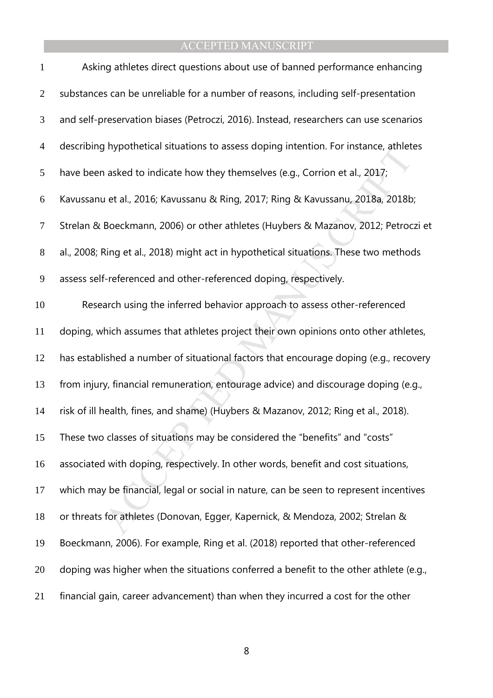| $\mathbf{1}$   | Asking athletes direct questions about use of banned performance enhancing             |
|----------------|----------------------------------------------------------------------------------------|
| $\overline{2}$ | substances can be unreliable for a number of reasons, including self-presentation      |
| 3              | and self-preservation biases (Petroczi, 2016). Instead, researchers can use scenarios  |
| $\overline{4}$ | describing hypothetical situations to assess doping intention. For instance, athletes  |
| 5              | have been asked to indicate how they themselves (e.g., Corrion et al., 2017;           |
| 6              | Kavussanu et al., 2016; Kavussanu & Ring, 2017; Ring & Kavussanu, 2018a, 2018b;        |
| $\tau$         | Strelan & Boeckmann, 2006) or other athletes (Huybers & Mazanov, 2012; Petroczi et     |
| $8\phantom{1}$ | al., 2008; Ring et al., 2018) might act in hypothetical situations. These two methods  |
| 9              | assess self-referenced and other-referenced doping, respectively.                      |
| 10             | Research using the inferred behavior approach to assess other-referenced               |
| 11             | doping, which assumes that athletes project their own opinions onto other athletes,    |
| 12             | has established a number of situational factors that encourage doping (e.g., recovery  |
| 13             | from injury, financial remuneration, entourage advice) and discourage doping (e.g.,    |
| 14             | risk of ill health, fines, and shame) (Huybers & Mazanov, 2012; Ring et al., 2018).    |
| 15             | These two classes of situations may be considered the "benefits" and "costs"           |
| 16             | associated with doping, respectively. In other words, benefit and cost situations,     |
| 17             | which may be financial, legal or social in nature, can be seen to represent incentives |
| 18             | or threats for athletes (Donovan, Egger, Kapernick, & Mendoza, 2002; Strelan &         |
| 19             | Boeckmann, 2006). For example, Ring et al. (2018) reported that other-referenced       |
| 20             | doping was higher when the situations conferred a benefit to the other athlete (e.g.,  |
| 21             | financial gain, career advancement) than when they incurred a cost for the other       |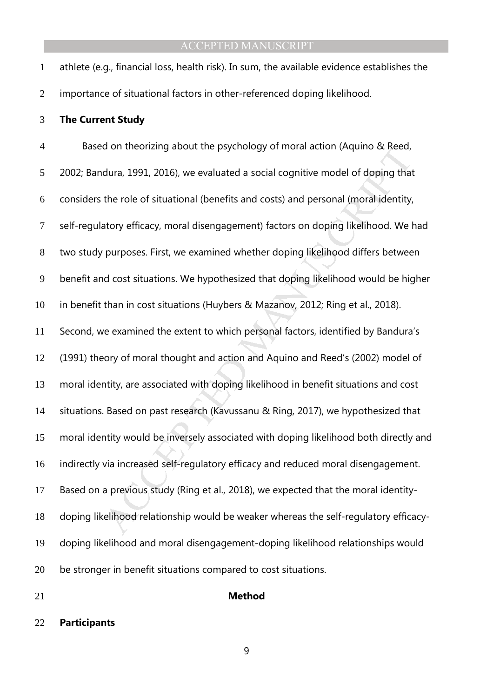athlete (e.g., financial loss, health risk). In sum, the available evidence establishes the importance of situational factors in other-referenced doping likelihood.

### **The Current Study**

of the paysinology of moral action (Aquino & keed, dura, 1991, 2016), we evaluated a social cognitive model of doping that the role of situational (benefits and costs) and personal (moral identity, atory efficacy, moral Based on theorizing about the psychology of moral action (Aquino & Reed, 2002; Bandura, 1991, 2016), we evaluated a social cognitive model of doping that considers the role of situational (benefits and costs) and personal (moral identity, self-regulatory efficacy, moral disengagement) factors on doping likelihood. We had two study purposes. First, we examined whether doping likelihood differs between benefit and cost situations. We hypothesized that doping likelihood would be higher in benefit than in cost situations (Huybers & Mazanov, 2012; Ring et al., 2018). Second, we examined the extent to which personal factors, identified by Bandura's (1991) theory of moral thought and action and Aquino and Reed's (2002) model of moral identity, are associated with doping likelihood in benefit situations and cost situations. Based on past research (Kavussanu & Ring, 2017), we hypothesized that moral identity would be inversely associated with doping likelihood both directly and indirectly via increased self-regulatory efficacy and reduced moral disengagement. Based on a previous study (Ring et al., 2018), we expected that the moral identity-doping likelihood relationship would be weaker whereas the self-regulatory efficacy-doping likelihood and moral disengagement-doping likelihood relationships would be stronger in benefit situations compared to cost situations.

### **Method**

### **Participants**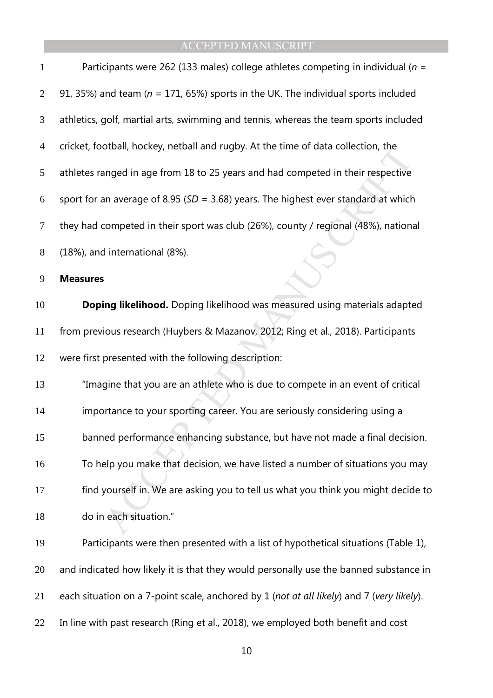| $\mathbf{1}$   | Participants were 262 (133 males) college athletes competing in individual ( $n =$        |
|----------------|-------------------------------------------------------------------------------------------|
| $\overline{2}$ | 91, 35%) and team ( $n = 171$ , 65%) sports in the UK. The individual sports included     |
| 3              | athletics, golf, martial arts, swimming and tennis, whereas the team sports included      |
| $\overline{4}$ | cricket, football, hockey, netball and rugby. At the time of data collection, the         |
| 5              | athletes ranged in age from 18 to 25 years and had competed in their respective           |
| 6              | sport for an average of 8.95 ( $SD = 3.68$ ) years. The highest ever standard at which    |
| 7              | they had competed in their sport was club (26%), county / regional (48%), national        |
| 8              | (18%), and international (8%).                                                            |
| 9              | <b>Measures</b>                                                                           |
| 10             | Doping likelihood. Doping likelihood was measured using materials adapted                 |
| 11             | from previous research (Huybers & Mazanov, 2012; Ring et al., 2018). Participants         |
| 12             | were first presented with the following description:                                      |
| 13             | "Imagine that you are an athlete who is due to compete in an event of critical            |
| 14             | importance to your sporting career. You are seriously considering using a                 |
| 15             | banned performance enhancing substance, but have not made a final decision.               |
| 16             | To help you make that decision, we have listed a number of situations you may             |
| 17             | find yourself in. We are asking you to tell us what you think you might decide to         |
| 18             | do in each situation."                                                                    |
| 19             | Participants were then presented with a list of hypothetical situations (Table 1),        |
| 20             | and indicated how likely it is that they would personally use the banned substance in     |
| 21             | each situation on a 7-point scale, anchored by 1 (not at all likely) and 7 (very likely). |
| 22             | In line with past research (Ring et al., 2018), we employed both benefit and cost         |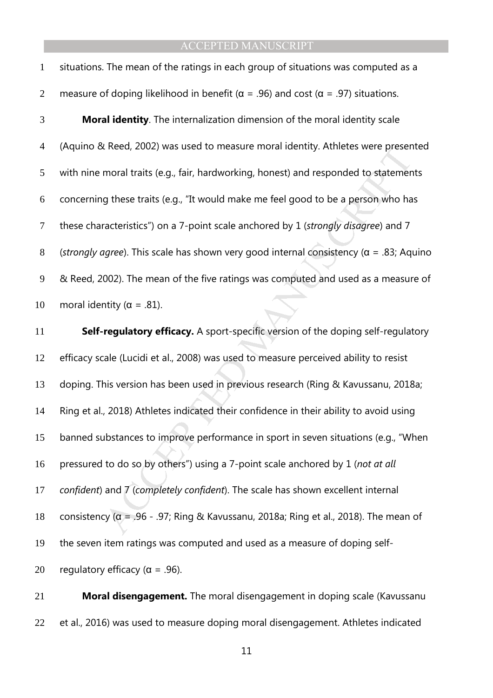| $\mathbf{1}$   | situations. The mean of the ratings in each group of situations was computed as a                |
|----------------|--------------------------------------------------------------------------------------------------|
| 2              | measure of doping likelihood in benefit ( $\alpha$ = .96) and cost ( $\alpha$ = .97) situations. |
| 3              | <b>Moral identity</b> . The internalization dimension of the moral identity scale                |
| $\overline{4}$ | (Aquino & Reed, 2002) was used to measure moral identity. Athletes were presented                |
| 5              | with nine moral traits (e.g., fair, hardworking, honest) and responded to statements             |
| 6              | concerning these traits (e.g., "It would make me feel good to be a person who has                |
| $\tau$         | these characteristics") on a 7-point scale anchored by 1 (strongly disagree) and 7               |
| 8              | (strongly agree). This scale has shown very good internal consistency ( $\alpha$ = .83; Aquino   |
| 9              | & Reed, 2002). The mean of the five ratings was computed and used as a measure of                |
| 10             | moral identity ( $\alpha$ = .81).                                                                |

*K* Reed, 2002) was used to measure moral dentity. Athletes were present moral traits (e.g., fair, hardworking, honest) and responded to statement g these traits (e.g., "It would make me feel good to be a person who hardc **Self-regulatory efficacy.** A sport-specific version of the doping self-regulatory efficacy scale (Lucidi et al., 2008) was used to measure perceived ability to resist doping. This version has been used in previous research (Ring & Kavussanu, 2018a; Ring et al., 2018) Athletes indicated their confidence in their ability to avoid using banned substances to improve performance in sport in seven situations (e.g., "When pressured to do so by others") using a 7-point scale anchored by 1 (*not at all confident*) and 7 (*completely confident*). The scale has shown excellent internal 18 consistency ( $\alpha$  = .96 - .97; Ring & Kavussanu, 2018a; Ring et al., 2018). The mean of the seven item ratings was computed and used as a measure of doping self-20 regulatory efficacy ( $\alpha$  = .96).

**Moral disengagement.** The moral disengagement in doping scale (Kavussanu et al., 2016) was used to measure doping moral disengagement. Athletes indicated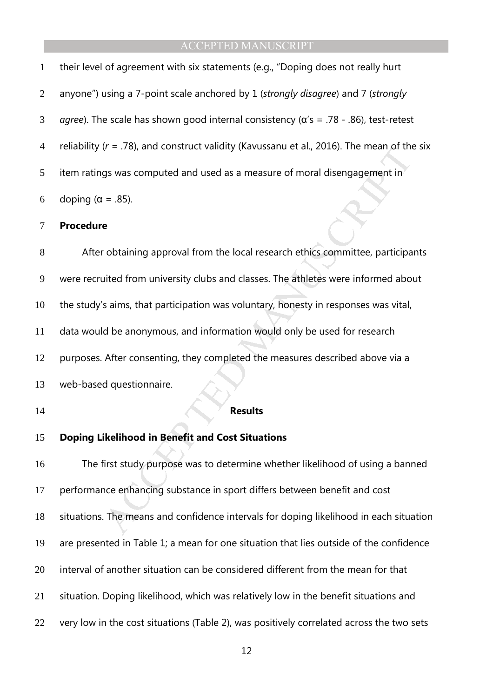| 6              | doping ( $\alpha$ = .85).                                                                             |
|----------------|-------------------------------------------------------------------------------------------------------|
| 5 <sup>5</sup> | item ratings was computed and used as a measure of moral disengagement in                             |
| $\overline{4}$ | reliability ( $r = 0.78$ ), and construct validity (Kavussanu et al., 2016). The mean of the six      |
| 3              | <i>agree</i> ). The scale has shown good internal consistency ( $\alpha$ 's = .78 - .86), test-retest |
| 2              | anyone") using a 7-point scale anchored by 1 (strongly disagree) and 7 (strongly                      |
| $\mathbf{1}$   | their level of agreement with six statements (e.g., "Doping does not really hurt                      |

### **Procedure**

 $W = .78$ ), and construct validity (Kavussanu et al., 2016). The mean or the<br>gs was computed and used as a measure of moral disengagement in<br> $= .85$ ).<br> $e$ <br>obtaining approval from the local research ethics committee, particip After obtaining approval from the local research ethics committee, participants were recruited from university clubs and classes. The athletes were informed about the study's aims, that participation was voluntary, honesty in responses was vital, data would be anonymous, and information would only be used for research purposes. After consenting, they completed the measures described above via a web-based questionnaire. **Results** 

# **Doping Likelihood in Benefit and Cost Situations**

The first study purpose was to determine whether likelihood of using a banned performance enhancing substance in sport differs between benefit and cost situations. The means and confidence intervals for doping likelihood in each situation are presented in Table 1; a mean for one situation that lies outside of the confidence interval of another situation can be considered different from the mean for that situation. Doping likelihood, which was relatively low in the benefit situations and very low in the cost situations (Table 2), was positively correlated across the two sets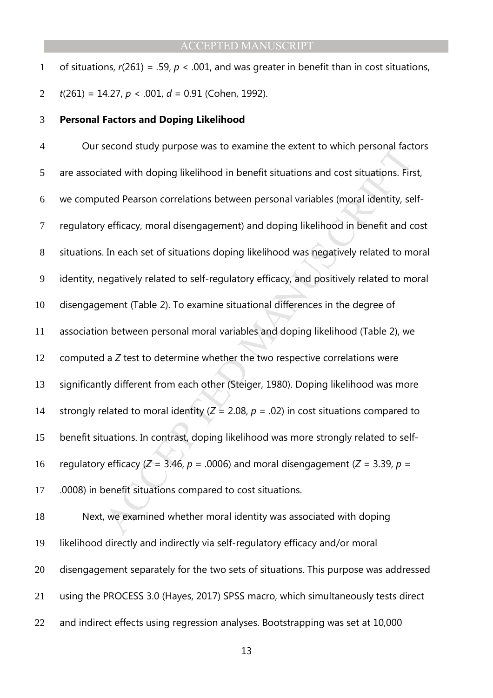of situations, *r*(261) = .59, *p* < .001, and was greater in benefit than in cost situations, *t*(261) = 14.27, *p* < .001, *d* = 0.91 (Cohen, 1992).

### **Personal Factors and Doping Likelihood**

become study purpose was to examine the extent to which personal ract<br>ated with doping likelihood in benefit situations and cost situations. Fir.<br>ted Pearson correlations between personal variables (moral identity, se<br>eff Our second study purpose was to examine the extent to which personal factors are associated with doping likelihood in benefit situations and cost situations. First, we computed Pearson correlations between personal variables (moral identity, self-regulatory efficacy, moral disengagement) and doping likelihood in benefit and cost situations. In each set of situations doping likelihood was negatively related to moral identity, negatively related to self-regulatory efficacy, and positively related to moral disengagement (Table 2). To examine situational differences in the degree of association between personal moral variables and doping likelihood (Table 2), we computed a *Z* test to determine whether the two respective correlations were significantly different from each other (Steiger, 1980). Doping likelihood was more 14 strongly related to moral identity  $(Z = 2.08, p = .02)$  in cost situations compared to benefit situations. In contrast, doping likelihood was more strongly related to self-16 regulatory efficacy  $(Z = 3.46, p = .0006)$  and moral disengagement  $(Z = 3.39, p = 1000)$ .0008) in benefit situations compared to cost situations.

Next, we examined whether moral identity was associated with doping likelihood directly and indirectly via self-regulatory efficacy and/or moral disengagement separately for the two sets of situations. This purpose was addressed using the PROCESS 3.0 (Hayes, 2017) SPSS macro, which simultaneously tests direct and indirect effects using regression analyses. Bootstrapping was set at 10,000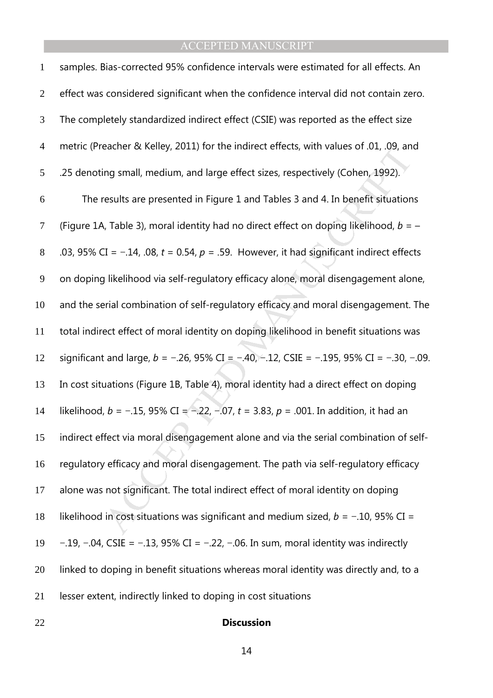| $\mathbf{1}$   | samples. Bias-corrected 95% confidence intervals were estimated for all effects. An            |
|----------------|------------------------------------------------------------------------------------------------|
| $\overline{2}$ | effect was considered significant when the confidence interval did not contain zero.           |
| 3              | The completely standardized indirect effect (CSIE) was reported as the effect size             |
| $\overline{4}$ | metric (Preacher & Kelley, 2011) for the indirect effects, with values of .01, .09, and        |
| 5              | .25 denoting small, medium, and large effect sizes, respectively (Cohen, 1992).                |
| 6              | The results are presented in Figure 1 and Tables 3 and 4. In benefit situations                |
| $\tau$         | (Figure 1A, Table 3), moral identity had no direct effect on doping likelihood, $b = -$        |
| $8\,$          | .03, 95% CI = $-.14$ , .08, t = 0.54, p = .59. However, it had significant indirect effects    |
| $\overline{9}$ | on doping likelihood via self-regulatory efficacy alone, moral disengagement alone,            |
| 10             | and the serial combination of self-regulatory efficacy and moral disengagement. The            |
| 11             | total indirect effect of moral identity on doping likelihood in benefit situations was         |
| 12             | significant and large, $b = -.26$ , 95% CI = -.40, -.12, CSIE = -.195, 95% CI = -.30, -.09.    |
| 13             | In cost situations (Figure 1B, Table 4), moral identity had a direct effect on doping          |
| 14             | likelihood, $b = -.15$ , 95% CI = -.22, -.07, $t = 3.83$ , $p = .001$ . In addition, it had an |
| 15             | indirect effect via moral disengagement alone and via the serial combination of self-          |
| 16             | regulatory efficacy and moral disengagement. The path via self-regulatory efficacy             |
| 17             | alone was not significant. The total indirect effect of moral identity on doping               |
| 18             | likelihood in cost situations was significant and medium sized, $b = -0.10$ , 95% CI =         |
| 19             | $-.19, -.04, CSIE = -.13, 95\% CI = -.22, -.06.$ In sum, moral identity was indirectly         |
| 20             | linked to doping in benefit situations whereas moral identity was directly and, to a           |
| 21             | lesser extent, indirectly linked to doping in cost situations                                  |
|                |                                                                                                |

# **Discussion**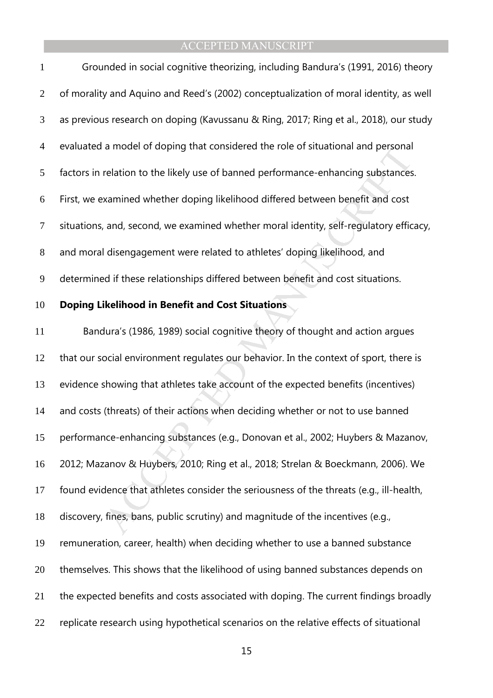| $\mathbf{1}$   | Grounded in social cognitive theorizing, including Bandura's (1991, 2016) theory        |
|----------------|-----------------------------------------------------------------------------------------|
| $\overline{2}$ | of morality and Aquino and Reed's (2002) conceptualization of moral identity, as well   |
| 3              | as previous research on doping (Kavussanu & Ring, 2017; Ring et al., 2018), our study   |
| $\overline{4}$ | evaluated a model of doping that considered the role of situational and personal        |
| 5              | factors in relation to the likely use of banned performance-enhancing substances.       |
| 6              | First, we examined whether doping likelihood differed between benefit and cost          |
| $\overline{7}$ | situations, and, second, we examined whether moral identity, self-regulatory efficacy,  |
| $8\phantom{.}$ | and moral disengagement were related to athletes' doping likelihood, and                |
| 9              | determined if these relationships differed between benefit and cost situations.         |
| 10             | <b>Doping Likelihood in Benefit and Cost Situations</b>                                 |
| 11             | Bandura's (1986, 1989) social cognitive theory of thought and action argues             |
| 12             | that our social environment regulates our behavior. In the context of sport, there is   |
| 13             | evidence showing that athletes take account of the expected benefits (incentives)       |
| 14             | and costs (threats) of their actions when deciding whether or not to use banned         |
| 15             | performance-enhancing substances (e.g., Donovan et al., 2002; Huybers & Mazanov,        |
| 16             | 2012; Mazanov & Huybers, 2010; Ring et al., 2018; Strelan & Boeckmann, 2006). We        |
| 17             | found evidence that athletes consider the seriousness of the threats (e.g., ill-health, |
| 18             | discovery, fines, bans, public scrutiny) and magnitude of the incentives (e.g.,         |
| 19             | remuneration, career, health) when deciding whether to use a banned substance           |
| 20             | themselves. This shows that the likelihood of using banned substances depends on        |
| 21             | the expected benefits and costs associated with doping. The current findings broadly    |
| 22             | replicate research using hypothetical scenarios on the relative effects of situational  |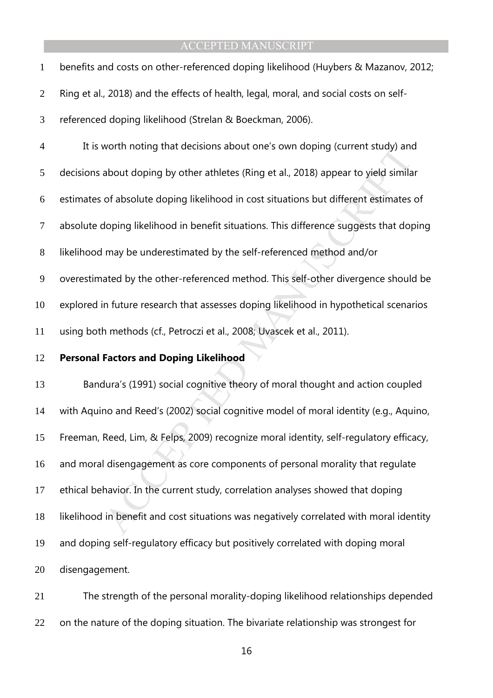| $\mathbf{1}$   | benefits and costs on other-referenced doping likelihood (Huybers & Mazanov, 2012;      |
|----------------|-----------------------------------------------------------------------------------------|
| $\overline{2}$ | Ring et al., 2018) and the effects of health, legal, moral, and social costs on self-   |
| 3              | referenced doping likelihood (Strelan & Boeckman, 2006).                                |
| $\overline{4}$ | It is worth noting that decisions about one's own doping (current study) and            |
| 5              | decisions about doping by other athletes (Ring et al., 2018) appear to yield similar    |
| 6              | estimates of absolute doping likelihood in cost situations but different estimates of   |
| $\tau$         | absolute doping likelihood in benefit situations. This difference suggests that doping  |
| 8              | likelihood may be underestimated by the self-referenced method and/or                   |
| 9              | overestimated by the other-referenced method. This self-other divergence should be      |
| 10             | explored in future research that assesses doping likelihood in hypothetical scenarios   |
|                |                                                                                         |
| 11             | using both methods (cf., Petroczi et al., 2008; Uvascek et al., 2011).                  |
| 12             | <b>Personal Factors and Doping Likelihood</b>                                           |
| 13             | Bandura's (1991) social cognitive theory of moral thought and action coupled            |
| 14             | with Aquino and Reed's (2002) social cognitive model of moral identity (e.g., Aquino,   |
| 15             | Freeman, Reed, Lim, & Felps, 2009) recognize moral identity, self-regulatory efficacy,  |
| 16             | and moral disengagement as core components of personal morality that regulate           |
| 17             | ethical behavior. In the current study, correlation analyses showed that doping         |
| 18             | likelihood in benefit and cost situations was negatively correlated with moral identity |
| 19             | and doping self-regulatory efficacy but positively correlated with doping moral         |
| 20             | disengagement.                                                                          |

The strength of the personal morality-doping likelihood relationships depended 22 on the nature of the doping situation. The bivariate relationship was strongest for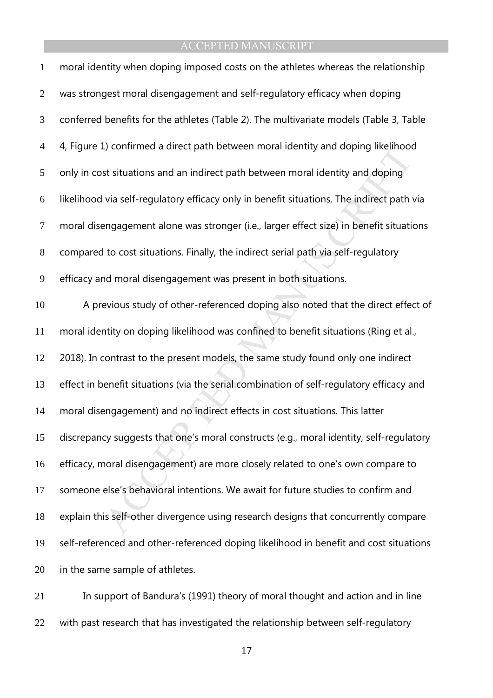| $\mathbf{1}$   | moral identity when doping imposed costs on the athletes whereas the relationship         |
|----------------|-------------------------------------------------------------------------------------------|
| $\overline{2}$ | was strongest moral disengagement and self-regulatory efficacy when doping                |
| $\mathfrak{Z}$ | conferred benefits for the athletes (Table 2). The multivariate models (Table 3, Table    |
| $\overline{4}$ | 4, Figure 1) confirmed a direct path between moral identity and doping likelihood         |
| 5              | only in cost situations and an indirect path between moral identity and doping            |
| 6              | likelihood via self-regulatory efficacy only in benefit situations. The indirect path via |
| $\overline{7}$ | moral disengagement alone was stronger (i.e., larger effect size) in benefit situations   |
| $8\,$          | compared to cost situations. Finally, the indirect serial path via self-regulatory        |
| 9              | efficacy and moral disengagement was present in both situations.                          |
| 10             | A previous study of other-referenced doping also noted that the direct effect of          |
| 11             | moral identity on doping likelihood was confined to benefit situations (Ring et al.,      |
| 12             | 2018). In contrast to the present models, the same study found only one indirect          |
| 13             | effect in benefit situations (via the serial combination of self-regulatory efficacy and  |
| 14             | moral disengagement) and no indirect effects in cost situations. This latter              |
| 15             | discrepancy suggests that one's moral constructs (e.g., moral identity, self-regulatory   |
| 16             | efficacy, moral disengagement) are more closely related to one's own compare to           |
| 17             | someone else's behavioral intentions. We await for future studies to confirm and          |
| 18             | explain this self-other divergence using research designs that concurrently compare       |
| 19             | self-referenced and other-referenced doping likelihood in benefit and cost situations     |
| 20             | in the same sample of athletes.                                                           |
|                |                                                                                           |

In support of Bandura's (1991) theory of moral thought and action and in line with past research that has investigated the relationship between self-regulatory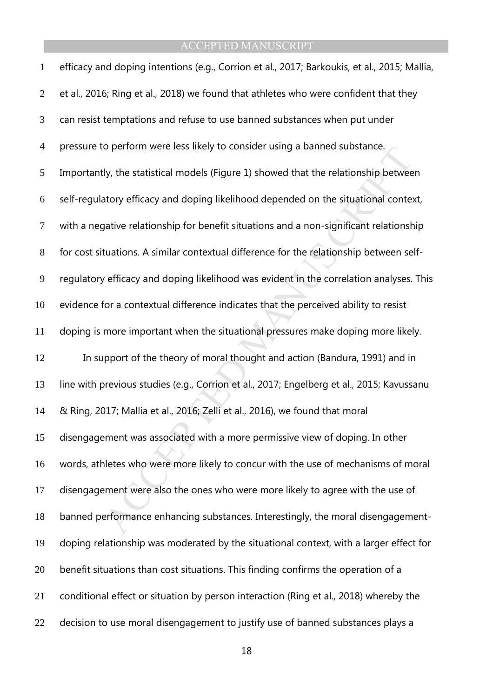| $\mathbf{1}$     | efficacy and doping intentions (e.g., Corrion et al., 2017; Barkoukis, et al., 2015; Mallia, |
|------------------|----------------------------------------------------------------------------------------------|
| $\overline{2}$   | et al., 2016; Ring et al., 2018) we found that athletes who were confident that they         |
| $\mathfrak{Z}$   | can resist temptations and refuse to use banned substances when put under                    |
| $\overline{4}$   | pressure to perform were less likely to consider using a banned substance.                   |
| 5                | Importantly, the statistical models (Figure 1) showed that the relationship between          |
| 6                | self-regulatory efficacy and doping likelihood depended on the situational context,          |
| $\boldsymbol{7}$ | with a negative relationship for benefit situations and a non-significant relationship       |
| $8\,$            | for cost situations. A similar contextual difference for the relationship between self-      |
| 9                | regulatory efficacy and doping likelihood was evident in the correlation analyses. This      |
| 10               | evidence for a contextual difference indicates that the perceived ability to resist          |
| 11               | doping is more important when the situational pressures make doping more likely.             |
| 12               | In support of the theory of moral thought and action (Bandura, 1991) and in                  |
| 13               | line with previous studies (e.g., Corrion et al., 2017; Engelberg et al., 2015; Kavussanu    |
| 14               | & Ring, 2017; Mallia et al., 2016; Zelli et al., 2016), we found that moral                  |
| 15               | disengagement was associated with a more permissive view of doping. In other                 |
| 16               | words, athletes who were more likely to concur with the use of mechanisms of moral           |
| 17               | disengagement were also the ones who were more likely to agree with the use of               |
| 18               | banned performance enhancing substances. Interestingly, the moral disengagement-             |
| 19               | doping relationship was moderated by the situational context, with a larger effect for       |
| 20               | benefit situations than cost situations. This finding confirms the operation of a            |
| 21               | conditional effect or situation by person interaction (Ring et al., 2018) whereby the        |
| 22               | decision to use moral disengagement to justify use of banned substances plays a              |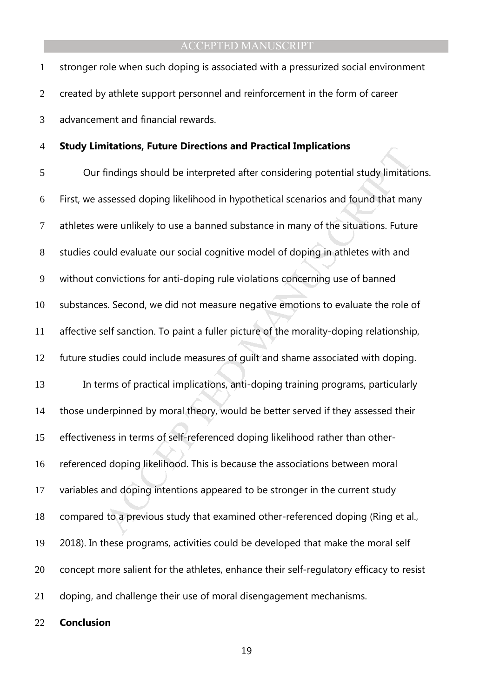stronger role when such doping is associated with a pressurized social environment created by athlete support personnel and reinforcement in the form of career advancement and financial rewards.

### **Study Limitations, Future Directions and Practical Implications**

findings should be interpreted after considering potential study limitations<br>findings should be interpreted after considering potential study limitati<br>ssessed doping likelihood in hypothetical scenarios and found that mar<br> Our findings should be interpreted after considering potential study limitations. First, we assessed doping likelihood in hypothetical scenarios and found that many athletes were unlikely to use a banned substance in many of the situations. Future studies could evaluate our social cognitive model of doping in athletes with and without convictions for anti-doping rule violations concerning use of banned substances. Second, we did not measure negative emotions to evaluate the role of affective self sanction. To paint a fuller picture of the morality-doping relationship, future studies could include measures of guilt and shame associated with doping. In terms of practical implications, anti-doping training programs, particularly those underpinned by moral theory, would be better served if they assessed their effectiveness in terms of self-referenced doping likelihood rather than other-referenced doping likelihood. This is because the associations between moral variables and doping intentions appeared to be stronger in the current study compared to a previous study that examined other-referenced doping (Ring et al., 2018). In these programs, activities could be developed that make the moral self 20 concept more salient for the athletes, enhance their self-regulatory efficacy to resist doping, and challenge their use of moral disengagement mechanisms.

**Conclusion**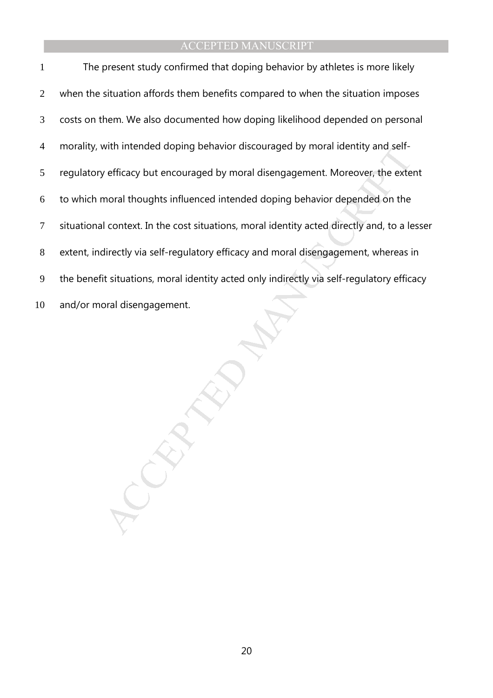with intended doping behavior discouraged by moral identity and seri-<br>vefficacy but encouraged by moral disengagement. Moreover, the externoral thoughts influenced intended doping behavior depended on the<br>Lontext. In the c The present study confirmed that doping behavior by athletes is more likely 2 when the situation affords them benefits compared to when the situation imposes costs on them. We also documented how doping likelihood depended on personal morality, with intended doping behavior discouraged by moral identity and self-regulatory efficacy but encouraged by moral disengagement. Moreover, the extent to which moral thoughts influenced intended doping behavior depended on the situational context. In the cost situations, moral identity acted directly and, to a lesser extent, indirectly via self-regulatory efficacy and moral disengagement, whereas in the benefit situations, moral identity acted only indirectly via self-regulatory efficacy and/or moral disengagement.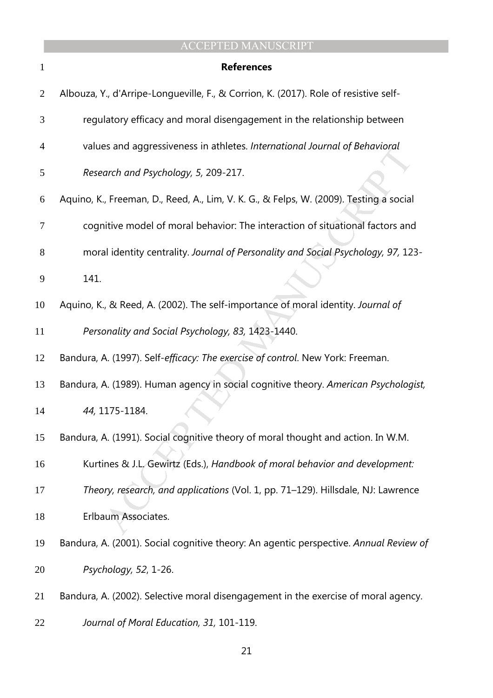| 1              | <b>References</b>                                                                      |
|----------------|----------------------------------------------------------------------------------------|
| $\overline{2}$ | Albouza, Y., d'Arripe-Longueville, F., & Corrion, K. (2017). Role of resistive self-   |
| 3              | regulatory efficacy and moral disengagement in the relationship between                |
| 4              | values and aggressiveness in athletes. International Journal of Behavioral             |
| 5              | Research and Psychology, 5, 209-217.                                                   |
| 6              | Aquino, K., Freeman, D., Reed, A., Lim, V. K. G., & Felps, W. (2009). Testing a social |
| 7              | cognitive model of moral behavior: The interaction of situational factors and          |
| 8              | moral identity centrality. Journal of Personality and Social Psychology, 97, 123-      |
| 9              | 141.                                                                                   |
| 10             | Aquino, K., & Reed, A. (2002). The self-importance of moral identity. Journal of       |
| 11             | Personality and Social Psychology, 83, 1423-1440.                                      |
| 12             | Bandura, A. (1997). Self-efficacy: The exercise of control. New York: Freeman.         |
| 13             | Bandura, A. (1989). Human agency in social cognitive theory. American Psychologist,    |
| 14             | 44, 1175-1184.                                                                         |
| 15             | Bandura, A. (1991). Social cognitive theory of moral thought and action. In W.M.       |
| 16             | Kurtines & J.L. Gewirtz (Eds.), Handbook of moral behavior and development:            |
| 17             | Theory, research, and applications (Vol. 1, pp. 71-129). Hillsdale, NJ: Lawrence       |
| 18             | Erlbaum Associates.                                                                    |
| 19             | Bandura, A. (2001). Social cognitive theory: An agentic perspective. Annual Review of  |
| 20             | Psychology, 52, 1-26.                                                                  |
| 21             | Bandura, A. (2002). Selective moral disengagement in the exercise of moral agency.     |
| 22             | Journal of Moral Education, 31, 101-119.                                               |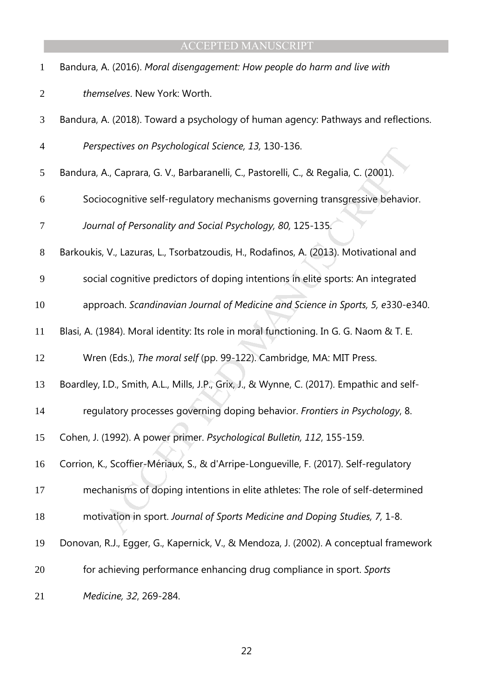| $\mathbf{1}$   | Bandura, A. (2016). Moral disengagement: How people do harm and live with                  |
|----------------|--------------------------------------------------------------------------------------------|
| $\overline{2}$ | themselves. New York: Worth.                                                               |
| 3              | Bandura, A. (2018). Toward a psychology of human agency: Pathways and reflections.         |
| $\overline{4}$ | Perspectives on Psychological Science, 13, 130-136.                                        |
| 5              | Bandura, A., Caprara, G. V., Barbaranelli, C., Pastorelli, C., & Regalia, C. (2001).       |
| 6              | Sociocognitive self-regulatory mechanisms governing transgressive behavior.                |
| 7              | Journal of Personality and Social Psychology, 80, 125-135.                                 |
| $8\,$          | Barkoukis, V., Lazuras, L., Tsorbatzoudis, H., Rodafinos, A. (2013). Motivational and      |
| 9              | social cognitive predictors of doping intentions in elite sports: An integrated            |
| 10             | approach. Scandinavian Journal of Medicine and Science in Sports, 5, e330-e340.            |
| 11             | Blasi, A. (1984). Moral identity: Its role in moral functioning. In G. G. Naom & T. E.     |
| 12             | Wren (Eds.), The moral self (pp. 99-122). Cambridge, MA: MIT Press.                        |
| 13             | Boardley, I.D., Smith, A.L., Mills, J.P., Grix, J., & Wynne, C. (2017). Empathic and self- |
| 14             | regulatory processes governing doping behavior. Frontiers in Psychology, 8.                |
| 15             | Cohen, J. (1992). A power primer. Psychological Bulletin, 112, 155-159.                    |
| 16             | Corrion, K., Scoffier-Mériaux, S., & d'Arripe-Longueville, F. (2017). Self-regulatory      |
| 17             | mechanisms of doping intentions in elite athletes: The role of self-determined             |
| 18             | motivation in sport. Journal of Sports Medicine and Doping Studies, 7, 1-8.                |
| 19             | Donovan, R.J., Egger, G., Kapernick, V., & Mendoza, J. (2002). A conceptual framework      |
| 20             | for achieving performance enhancing drug compliance in sport. Sports                       |
| 21             | Medicine, 32, 269-284.                                                                     |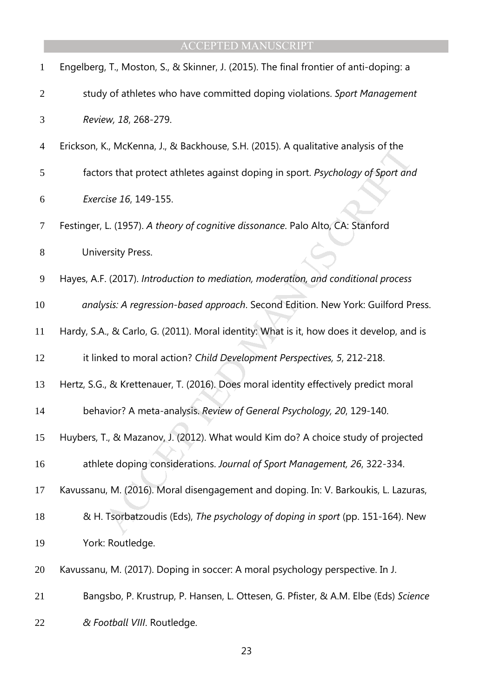| $\mathbf{1}$   | Engelberg, T., Moston, S., & Skinner, J. (2015). The final frontier of anti-doping: a    |
|----------------|------------------------------------------------------------------------------------------|
| $\overline{2}$ | study of athletes who have committed doping violations. Sport Management                 |
| 3              | Review, 18, 268-279.                                                                     |
| 4              | Erickson, K., McKenna, J., & Backhouse, S.H. (2015). A qualitative analysis of the       |
| 5              | factors that protect athletes against doping in sport. Psychology of Sport and           |
| 6              | Exercise 16, 149-155.                                                                    |
| $\tau$         | Festinger, L. (1957). A theory of cognitive dissonance. Palo Alto, CA: Stanford          |
| $8\,$          | University Press.                                                                        |
| 9              | Hayes, A.F. (2017). Introduction to mediation, moderation, and conditional process       |
| 10             | analysis: A regression-based approach. Second Edition. New York: Guilford Press.         |
| 11             | Hardy, S.A., & Carlo, G. (2011). Moral identity: What is it, how does it develop, and is |
| 12             | it linked to moral action? Child Development Perspectives, 5, 212-218.                   |
| 13             | Hertz, S.G., & Krettenauer, T. (2016). Does moral identity effectively predict moral     |
| 14             | behavior? A meta-analysis. Review of General Psychology, 20, 129-140.                    |
| 15             | Huybers, T., & Mazanov, J. (2012). What would Kim do? A choice study of projected        |
| 16             | athlete doping considerations. Journal of Sport Management, 26, 322-334.                 |
| 17             | Kavussanu, M. (2016). Moral disengagement and doping. In: V. Barkoukis, L. Lazuras,      |
| 18             | & H. Tsorbatzoudis (Eds), The psychology of doping in sport (pp. 151-164). New           |
| 19             | York: Routledge.                                                                         |
| 20             | Kavussanu, M. (2017). Doping in soccer: A moral psychology perspective. In J.            |
| 21             | Bangsbo, P. Krustrup, P. Hansen, L. Ottesen, G. Pfister, & A.M. Elbe (Eds) Science       |
| 22             | & Football VIII. Routledge.                                                              |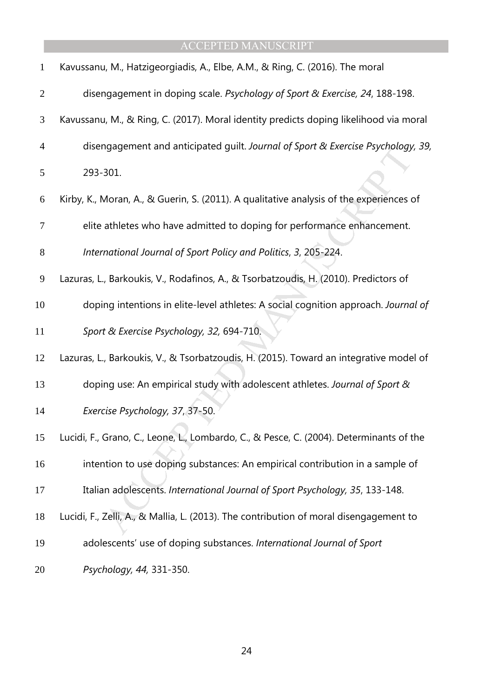| $\mathbf{1}$   | Kavussanu, M., Hatzigeorgiadis, A., Elbe, A.M., & Ring, C. (2016). The moral            |
|----------------|-----------------------------------------------------------------------------------------|
| $\overline{2}$ | disengagement in doping scale. Psychology of Sport & Exercise, 24, 188-198.             |
| 3              | Kavussanu, M., & Ring, C. (2017). Moral identity predicts doping likelihood via moral   |
| $\overline{4}$ | disengagement and anticipated guilt. Journal of Sport & Exercise Psychology, 39,        |
| 5              | 293-301.                                                                                |
| 6              | Kirby, K., Moran, A., & Guerin, S. (2011). A qualitative analysis of the experiences of |
| 7              | elite athletes who have admitted to doping for performance enhancement.                 |
| $8\,$          | International Journal of Sport Policy and Politics, 3, 205-224.                         |
| 9              | Lazuras, L., Barkoukis, V., Rodafinos, A., & Tsorbatzoudis, H. (2010). Predictors of    |
| 10             | doping intentions in elite-level athletes: A social cognition approach. Journal of      |
| 11             | Sport & Exercise Psychology, 32, 694-710.                                               |
| 12             | Lazuras, L., Barkoukis, V., & Tsorbatzoudis, H. (2015). Toward an integrative model of  |
| 13             | doping use: An empirical study with adolescent athletes. Journal of Sport &             |
| 14             | Exercise Psychology, 37, 37-50.                                                         |
| 15             | Lucidi, F., Grano, C., Leone, L., Lombardo, C., & Pesce, C. (2004). Determinants of the |
| 16             | intention to use doping substances: An empirical contribution in a sample of            |
| 17             | Italian adolescents. International Journal of Sport Psychology, 35, 133-148.            |
| 18             | Lucidi, F., Zelli, A., & Mallia, L. (2013). The contribution of moral disengagement to  |
| 19             | adolescents' use of doping substances. International Journal of Sport                   |
| 20             | Psychology, 44, 331-350.                                                                |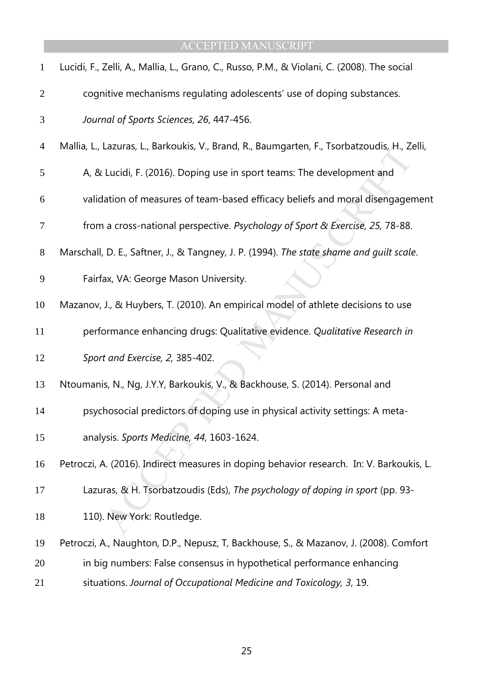| $\mathbf{1}$   | Lucidi, F., Zelli, A., Mallia, L., Grano, C., Russo, P.M., & Violani, C. (2008). The social  |
|----------------|----------------------------------------------------------------------------------------------|
| $\overline{2}$ | cognitive mechanisms regulating adolescents' use of doping substances.                       |
| 3              | Journal of Sports Sciences, 26, 447-456.                                                     |
| $\overline{4}$ | Mallia, L., Lazuras, L., Barkoukis, V., Brand, R., Baumgarten, F., Tsorbatzoudis, H., Zelli, |
| 5              | A, & Lucidi, F. (2016). Doping use in sport teams: The development and                       |
| 6              | validation of measures of team-based efficacy beliefs and moral disengagement                |
| 7              | from a cross-national perspective. Psychology of Sport & Exercise, 25, 78-88.                |
| $8\phantom{1}$ | Marschall, D. E., Saftner, J., & Tangney, J. P. (1994). The state shame and guilt scale.     |
| 9              | Fairfax, VA: George Mason University.                                                        |
| 10             | Mazanov, J., & Huybers, T. (2010). An empirical model of athlete decisions to use            |
| 11             | performance enhancing drugs: Qualitative evidence. Qualitative Research in                   |
| 12             | Sport and Exercise, 2, 385-402.                                                              |
| 13             | Ntoumanis, N., Ng, J.Y.Y, Barkoukis, V., & Backhouse, S. (2014). Personal and                |
| 14             | psychosocial predictors of doping use in physical activity settings: A meta-                 |
| 15             | analysis. Sports Medicine, 44, 1603-1624.                                                    |
| 16             | Petroczi, A. (2016). Indirect measures in doping behavior research. In: V. Barkoukis, L.     |
| 17             | Lazuras, & H. Tsorbatzoudis (Eds), The psychology of doping in sport (pp. 93-                |
| 18             | 110). New York: Routledge.                                                                   |
| 19             | Petroczi, A., Naughton, D.P., Nepusz, T, Backhouse, S., & Mazanov, J. (2008). Comfort        |
| 20             | in big numbers: False consensus in hypothetical performance enhancing                        |
| 21             | situations. Journal of Occupational Medicine and Toxicology, 3, 19.                          |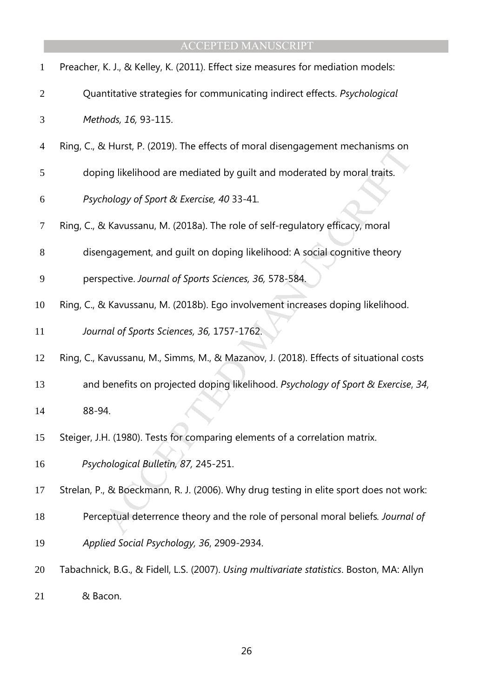| <b>ACCEPTED MANUSCRIPT</b> |  |  |  |  |  |  |  |  |
|----------------------------|--|--|--|--|--|--|--|--|
|                            |  |  |  |  |  |  |  |  |

| $\mathbf{1}$   | Preacher, K. J., & Kelley, K. (2011). Effect size measures for mediation models:          |
|----------------|-------------------------------------------------------------------------------------------|
| $\overline{2}$ | Quantitative strategies for communicating indirect effects. Psychological                 |
| 3              | Methods, 16, 93-115.                                                                      |
| $\overline{4}$ | Ring, C., & Hurst, P. (2019). The effects of moral disengagement mechanisms on            |
| 5              | doping likelihood are mediated by guilt and moderated by moral traits.                    |
| 6              | Psychology of Sport & Exercise, 40 33-41.                                                 |
| 7              | Ring, C., & Kavussanu, M. (2018a). The role of self-regulatory efficacy, moral            |
| 8              | disengagement, and guilt on doping likelihood: A social cognitive theory                  |
| 9              | perspective. Journal of Sports Sciences, 36, 578-584.                                     |
| 10             | Ring, C., & Kavussanu, M. (2018b). Ego involvement increases doping likelihood.           |
| 11             | Journal of Sports Sciences, 36, 1757-1762.                                                |
| 12             | Ring, C., Kavussanu, M., Simms, M., & Mazanov, J. (2018). Effects of situational costs    |
| 13             | and benefits on projected doping likelihood. Psychology of Sport & Exercise, 34,          |
| 14             | 88-94.                                                                                    |
| 15             | Steiger, J.H. (1980). Tests for comparing elements of a correlation matrix.               |
| 16             | Psychological Bulletin, 87, 245-251.                                                      |
| 17             | Strelan, P., & Boeckmann, R. J. (2006). Why drug testing in elite sport does not work:    |
| 18             | Perceptual deterrence theory and the role of personal moral beliefs. Journal of           |
| 19             | Applied Social Psychology, 36, 2909-2934.                                                 |
| 20             | Tabachnick, B.G., & Fidell, L.S. (2007). Using multivariate statistics. Boston, MA: Allyn |
| 21             | & Bacon.                                                                                  |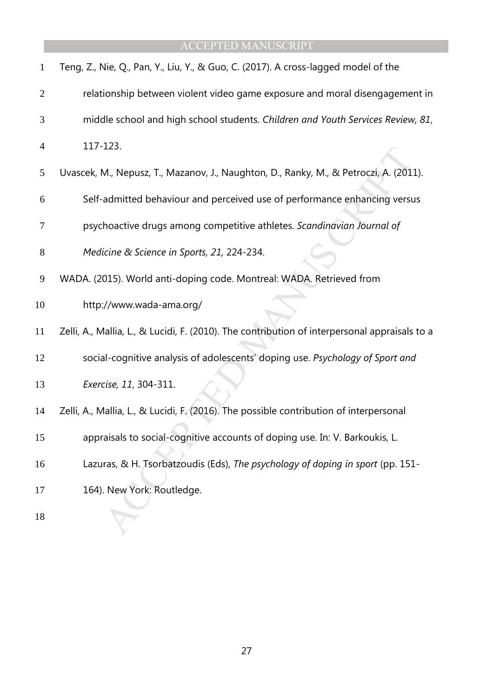| $\mathbf{1}$   | Teng, Z., Nie, Q., Pan, Y., Liu, Y., & Guo, C. (2017). A cross-lagged model of the            |
|----------------|-----------------------------------------------------------------------------------------------|
| $\overline{2}$ | relationship between violent video game exposure and moral disengagement in                   |
| 3              | middle school and high school students. Children and Youth Services Review, 81,               |
| $\overline{4}$ | 117-123.                                                                                      |
| 5              | Uvascek, M., Nepusz, T., Mazanov, J., Naughton, D., Ranky, M., & Petroczi, A. (2011).         |
| 6              | Self-admitted behaviour and perceived use of performance enhancing versus                     |
| 7              | psychoactive drugs among competitive athletes. Scandinavian Journal of                        |
| 8              | Medicine & Science in Sports, 21, 224-234.                                                    |
| 9              | WADA. (2015). World anti-doping code. Montreal: WADA. Retrieved from                          |
| 10             | http://www.wada-ama.org/                                                                      |
| 11             | Zelli, A., Mallia, L., & Lucidi, F. (2010). The contribution of interpersonal appraisals to a |
| 12             | social-cognitive analysis of adolescents' doping use. Psychology of Sport and                 |
| 13             | Exercise, 11, 304-311.                                                                        |
| 14             | Zelli, A., Mallia, L., & Lucidi, F. (2016). The possible contribution of interpersonal        |
| 15             | appraisals to social-cognitive accounts of doping use. In: V. Barkoukis, L.                   |
| 16             | Lazuras, & H. Tsorbatzoudis (Eds), The psychology of doping in sport (pp. 151-                |
| 17             | 164). New York: Routledge.                                                                    |
| 18             |                                                                                               |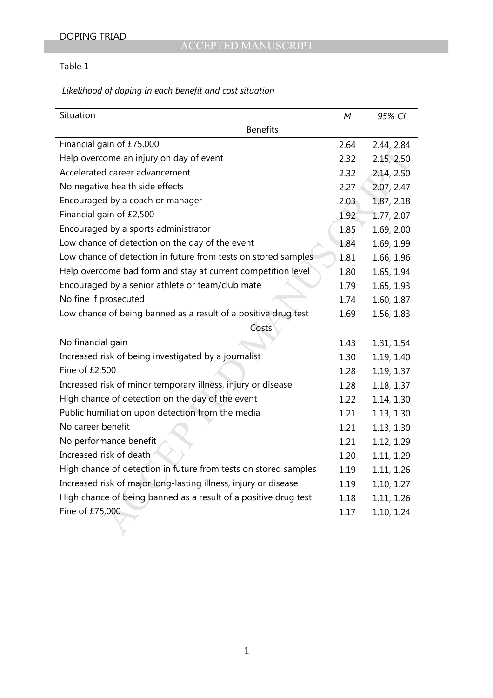# Table 1

# *Likelihood of doping in each benefit and cost situation*

| Situation                                                       | М                 | 95% CI     |
|-----------------------------------------------------------------|-------------------|------------|
| <b>Benefits</b>                                                 |                   |            |
| Financial gain of £75,000                                       | 2.64              | 2.44, 2.84 |
| Help overcome an injury on day of event                         | 2.32              | 2.15, 2.50 |
| Accelerated career advancement                                  | 2.32              | 2.14, 2.50 |
| No negative health side effects                                 | 2.27              | 2.07, 2.47 |
| Encouraged by a coach or manager                                | 2.03              | 1.87, 2.18 |
| Financial gain of £2,500                                        | 1.92 <sub>1</sub> | 1.77, 2.07 |
| Encouraged by a sports administrator                            | 1.85              | 1.69, 2.00 |
| Low chance of detection on the day of the event                 | 1.84              | 1.69, 1.99 |
| Low chance of detection in future from tests on stored samples  | 1.81              | 1.66, 1.96 |
| Help overcome bad form and stay at current competition level    | 1.80              | 1.65, 1.94 |
| Encouraged by a senior athlete or team/club mate                | 1.79              | 1.65, 1.93 |
| No fine if prosecuted                                           | 1.74              | 1.60, 1.87 |
| Low chance of being banned as a result of a positive drug test  | 1.69              | 1.56, 1.83 |
| Costs                                                           |                   |            |
| No financial gain                                               | 1.43              | 1.31, 1.54 |
| Increased risk of being investigated by a journalist            | 1.30              | 1.19, 1.40 |
| Fine of £2,500                                                  | 1.28              | 1.19, 1.37 |
| Increased risk of minor temporary illness, injury or disease    | 1.28              | 1.18, 1.37 |
| High chance of detection on the day of the event                | 1.22              | 1.14, 1.30 |
| Public humiliation upon detection from the media                | 1.21              | 1.13, 1.30 |
| No career benefit                                               | 1.21              | 1.13, 1.30 |
| No performance benefit                                          | 1.21              | 1.12, 1.29 |
| Increased risk of death                                         | 1.20              | 1.11, 1.29 |
| High chance of detection in future from tests on stored samples | 1.19              | 1.11, 1.26 |
| Increased risk of major long-lasting illness, injury or disease | 1.19              | 1.10, 1.27 |
| High chance of being banned as a result of a positive drug test | 1.18              | 1.11, 1.26 |
| Fine of £75,000                                                 | 1.17              | 1.10, 1.24 |
|                                                                 |                   |            |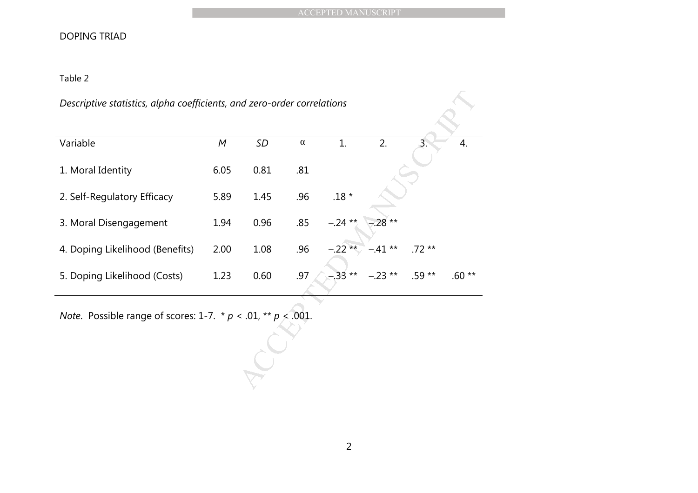# DOPING TRIAD

### Table 2

### *Descriptive statistics, alpha coefficients, and zero-order correlations*

|                                                                           |      |      |          | <b>ACCEPTED MANUSCRIPT</b> |          |         |         |  |
|---------------------------------------------------------------------------|------|------|----------|----------------------------|----------|---------|---------|--|
| <b>DOPING TRIAD</b>                                                       |      |      |          |                            |          |         |         |  |
| Table 2                                                                   |      |      |          |                            |          |         |         |  |
| Descriptive statistics, alpha coefficients, and zero-order correlations   |      |      |          |                            |          |         |         |  |
|                                                                           |      |      |          |                            |          |         |         |  |
| Variable                                                                  | M    | SD   | $\alpha$ | 1.                         | 2.       | 3.      | 4.      |  |
| 1. Moral Identity                                                         | 6.05 | 0.81 | .81      |                            |          |         |         |  |
| 2. Self-Regulatory Efficacy                                               | 5.89 | 1.45 | .96      | .18 $^{\star}$             |          |         |         |  |
| 3. Moral Disengagement                                                    | 1.94 | 0.96 | .85      | $-.24**$                   | $.28**$  |         |         |  |
| 4. Doping Likelihood (Benefits)                                           | 2.00 | 1.08 | .96      | $-.22**$                   | $-41**$  | $.72**$ |         |  |
| 5. Doping Likelihood (Costs)                                              | 1.23 | 0.60 | .97      | $-0.33**$                  | $-.23**$ | $.59**$ | $.60**$ |  |
| <i>Note.</i> Possible range of scores: 1-7. $* p < .01$ , $** p < .001$ . |      |      |          |                            |          |         |         |  |
|                                                                           |      |      |          |                            |          |         |         |  |
|                                                                           |      |      |          |                            |          |         |         |  |
|                                                                           |      |      |          |                            |          |         |         |  |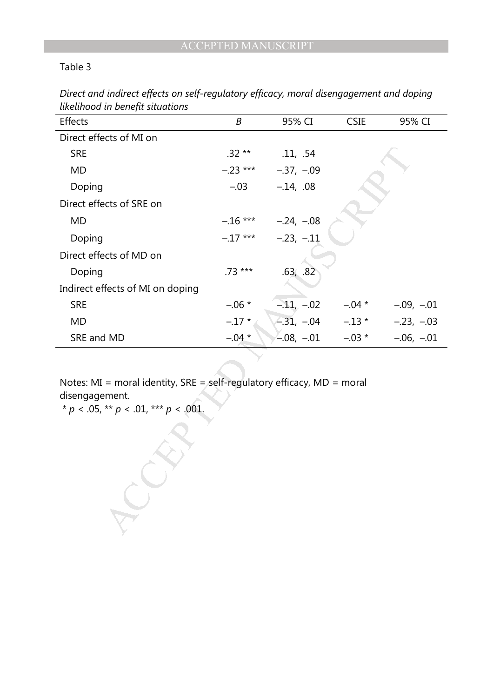Table 3

| Effects                                                                                                                                     | B          | 95% CI                     | CSIE     | 95% CI       |  |  |  |  |
|---------------------------------------------------------------------------------------------------------------------------------------------|------------|----------------------------|----------|--------------|--|--|--|--|
| Direct effects of MI on                                                                                                                     |            |                            |          |              |  |  |  |  |
| <b>SRE</b>                                                                                                                                  | $.32**$    | .11, .54                   |          |              |  |  |  |  |
| <b>MD</b>                                                                                                                                   | $-.23$ *** | $-.37, -.09$               |          |              |  |  |  |  |
| Doping                                                                                                                                      | $-.03$     | $-.14, .08$                |          |              |  |  |  |  |
| Direct effects of SRE on                                                                                                                    |            |                            |          |              |  |  |  |  |
| <b>MD</b>                                                                                                                                   |            | $-.16$ *** $-.24$ , $-.08$ |          |              |  |  |  |  |
| Doping                                                                                                                                      | $-.17***$  | $-.23, -.11$               |          |              |  |  |  |  |
| Direct effects of MD on                                                                                                                     |            |                            |          |              |  |  |  |  |
| Doping                                                                                                                                      | $.73***$   | .63, .82                   |          |              |  |  |  |  |
| Indirect effects of MI on doping                                                                                                            |            |                            |          |              |  |  |  |  |
| <b>SRE</b>                                                                                                                                  | $-.06*$    | $-.11, -02$                | $-.04$ * | $-.09, -.01$ |  |  |  |  |
| <b>MD</b>                                                                                                                                   | $-.17*$    | $-31, -04$                 | $-.13$ * | $-.23, -.03$ |  |  |  |  |
| SRE and MD                                                                                                                                  | $-.04*$    | $-.08, -.01$               | $-.03$ * | $-.06, -.01$ |  |  |  |  |
|                                                                                                                                             |            |                            |          |              |  |  |  |  |
| Notes: MI = moral identity, SRE = self-regulatory efficacy, $MD = moral$<br>disengagement.<br>* $p < .05$ , ** $p < .01$ , *** $p < .001$ . |            |                            |          |              |  |  |  |  |
|                                                                                                                                             |            |                            |          |              |  |  |  |  |

*Direct and indirect effects on self-regulatory efficacy, moral disengagement and doping likelihood in benefit situations*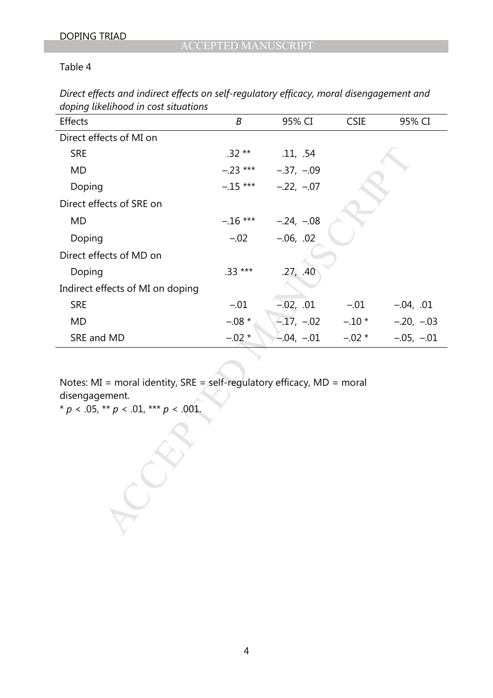Table 4

| Direct effects and indirect effects on self-regulatory efficacy, moral disengagement and |  |
|------------------------------------------------------------------------------------------|--|
| doping likelihood in cost situations                                                     |  |

| Effects                                                                                                                                   | B          | 95% CI                 | <b>CSIE</b> | 95% CI       |  |
|-------------------------------------------------------------------------------------------------------------------------------------------|------------|------------------------|-------------|--------------|--|
| Direct effects of MI on                                                                                                                   |            |                        |             |              |  |
| <b>SRE</b>                                                                                                                                | $.32**$    | .11, .54               |             |              |  |
| <b>MD</b>                                                                                                                                 | $-.23$ *** | $-.37, -.09$           |             |              |  |
| Doping                                                                                                                                    |            | $-.15***$ $-.22, -.07$ |             |              |  |
| Direct effects of SRE on                                                                                                                  |            |                        |             |              |  |
| <b>MD</b>                                                                                                                                 | $-.16$ *** | $-.24, -.08$           |             |              |  |
| Doping                                                                                                                                    | $-.02$     | $-.06, .02$            |             |              |  |
| Direct effects of MD on                                                                                                                   |            |                        |             |              |  |
| Doping                                                                                                                                    | $.33***$   | .27, .40               |             |              |  |
| Indirect effects of MI on doping                                                                                                          |            |                        |             |              |  |
| <b>SRE</b>                                                                                                                                | $-.01$     | $-0.02$ , $0.01$       | $-.01$      | $-.04, .01$  |  |
| <b>MD</b>                                                                                                                                 | $-.08 *$   | $-.17, -.02$ $-.10*$   |             | $-.20, -.03$ |  |
| SRE and MD                                                                                                                                | $-.02*$    | $-0.04, -0.01$         | $-.02 *$    | $-.05, -.01$ |  |
| Notes: MI = moral identity, SRE = self-regulatory efficacy, MD = moral<br>disengagement.<br>* $p < .05$ , ** $p < .01$ , *** $p < .001$ . |            |                        |             |              |  |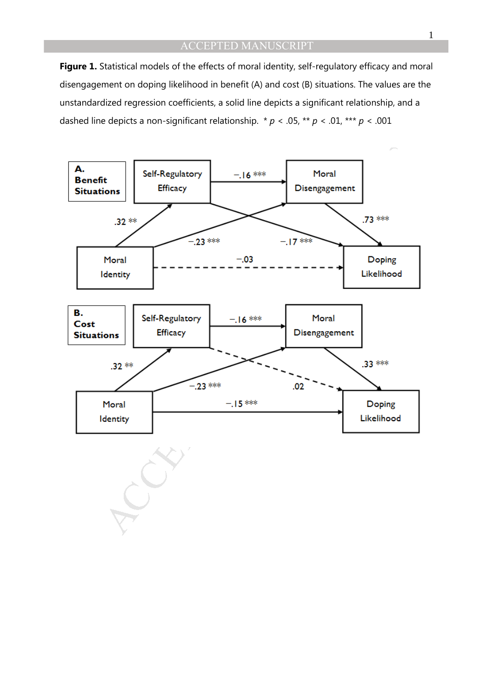Figure 1. Statistical models of the effects of moral identity, self-regulatory efficacy and moral disengagement on doping likelihood in benefit (A) and cost (B) situations. The values are the unstandardized regression coefficients, a solid line depicts a significant relationship, and a dashed line depicts a non-significant relationship. \* *p* < .05, \*\* *p* < .01, \*\*\* *p* < .001